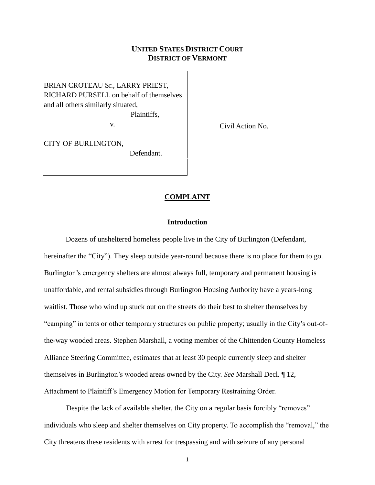# **UNITED STATES DISTRICT COURT DISTRICT OF VERMONT**

BRIAN CROTEAU Sr., LARRY PRIEST, RICHARD PURSELL on behalf of themselves and all others similarly situated,

Plaintiffs,

v.

Civil Action No. \_\_\_\_\_\_\_\_\_\_\_

CITY OF BURLINGTON, Defendant.

## **COMPLAINT**

## **Introduction**

Dozens of unsheltered homeless people live in the City of Burlington (Defendant, hereinafter the "City"). They sleep outside year-round because there is no place for them to go. Burlington's emergency shelters are almost always full, temporary and permanent housing is unaffordable, and rental subsidies through Burlington Housing Authority have a years-long waitlist. Those who wind up stuck out on the streets do their best to shelter themselves by "camping" in tents or other temporary structures on public property; usually in the City's out-ofthe-way wooded areas. Stephen Marshall, a voting member of the Chittenden County Homeless Alliance Steering Committee, estimates that at least 30 people currently sleep and shelter themselves in Burlington's wooded areas owned by the City. *See* Marshall Decl. ¶ 12, Attachment to Plaintiff's Emergency Motion for Temporary Restraining Order.

Despite the lack of available shelter, the City on a regular basis forcibly "removes" individuals who sleep and shelter themselves on City property. To accomplish the "removal," the City threatens these residents with arrest for trespassing and with seizure of any personal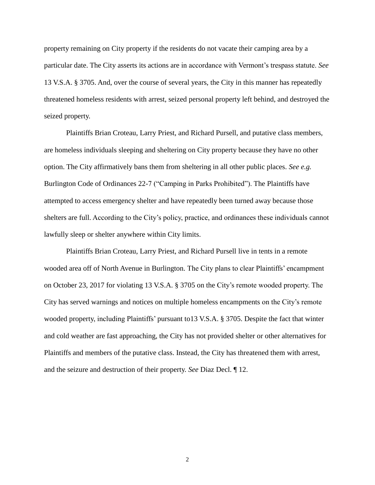property remaining on City property if the residents do not vacate their camping area by a particular date. The City asserts its actions are in accordance with Vermont's trespass statute. *See* 13 V.S.A. § 3705. And, over the course of several years, the City in this manner has repeatedly threatened homeless residents with arrest, seized personal property left behind, and destroyed the seized property.

Plaintiffs Brian Croteau, Larry Priest, and Richard Pursell, and putative class members, are homeless individuals sleeping and sheltering on City property because they have no other option. The City affirmatively bans them from sheltering in all other public places. *See e.g.* Burlington Code of Ordinances 22-7 ("Camping in Parks Prohibited"). The Plaintiffs have attempted to access emergency shelter and have repeatedly been turned away because those shelters are full. According to the City's policy, practice, and ordinances these individuals cannot lawfully sleep or shelter anywhere within City limits.

Plaintiffs Brian Croteau, Larry Priest, and Richard Pursell live in tents in a remote wooded area off of North Avenue in Burlington. The City plans to clear Plaintiffs' encampment on October 23, 2017 for violating 13 V.S.A. § 3705 on the City's remote wooded property. The City has served warnings and notices on multiple homeless encampments on the City's remote wooded property, including Plaintiffs' pursuant to13 V.S.A. § 3705. Despite the fact that winter and cold weather are fast approaching, the City has not provided shelter or other alternatives for Plaintiffs and members of the putative class. Instead, the City has threatened them with arrest, and the seizure and destruction of their property. *See* Diaz Decl. ¶ 12.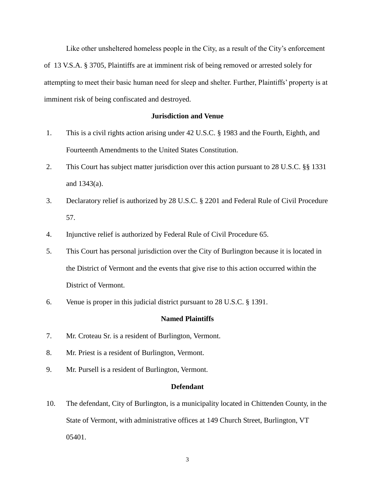Like other unsheltered homeless people in the City, as a result of the City's enforcement of 13 V.S.A. § 3705, Plaintiffs are at imminent risk of being removed or arrested solely for attempting to meet their basic human need for sleep and shelter. Further, Plaintiffs' property is at imminent risk of being confiscated and destroyed.

## **Jurisdiction and Venue**

- 1. This is a civil rights action arising under 42 U.S.C. § 1983 and the Fourth, Eighth, and Fourteenth Amendments to the United States Constitution.
- 2. This Court has subject matter jurisdiction over this action pursuant to 28 U.S.C. §§ 1331 and 1343(a).
- 3. Declaratory relief is authorized by 28 U.S.C. § 2201 and Federal Rule of Civil Procedure 57.
- 4. Injunctive relief is authorized by Federal Rule of Civil Procedure 65.
- 5. This Court has personal jurisdiction over the City of Burlington because it is located in the District of Vermont and the events that give rise to this action occurred within the District of Vermont.
- 6. Venue is proper in this judicial district pursuant to 28 U.S.C. § 1391.

#### **Named Plaintiffs**

- 7. Mr. Croteau Sr. is a resident of Burlington, Vermont.
- 8. Mr. Priest is a resident of Burlington, Vermont.
- 9. Mr. Pursell is a resident of Burlington, Vermont.

#### **Defendant**

10. The defendant, City of Burlington, is a municipality located in Chittenden County, in the State of Vermont, with administrative offices at 149 Church Street, Burlington, VT 05401.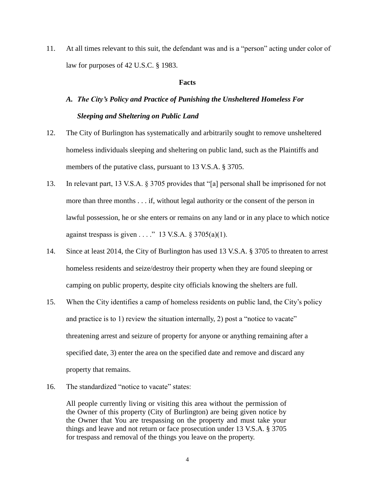11. At all times relevant to this suit, the defendant was and is a "person" acting under color of law for purposes of 42 U.S.C. § 1983.

#### **Facts**

# *A. The City's Policy and Practice of Punishing the Unsheltered Homeless For Sleeping and Sheltering on Public Land*

- 12. The City of Burlington has systematically and arbitrarily sought to remove unsheltered homeless individuals sleeping and sheltering on public land, such as the Plaintiffs and members of the putative class, pursuant to 13 V.S.A. § 3705.
- 13. In relevant part, 13 V.S.A. § 3705 provides that "[a] personal shall be imprisoned for not more than three months . . . if, without legal authority or the consent of the person in lawful possession, he or she enters or remains on any land or in any place to which notice against trespass is given . . . . " 13 V.S.A.  $\S 3705(a)(1)$ .
- 14. Since at least 2014, the City of Burlington has used 13 V.S.A. § 3705 to threaten to arrest homeless residents and seize/destroy their property when they are found sleeping or camping on public property, despite city officials knowing the shelters are full.
- 15. When the City identifies a camp of homeless residents on public land, the City's policy and practice is to 1) review the situation internally, 2) post a "notice to vacate" threatening arrest and seizure of property for anyone or anything remaining after a specified date, 3) enter the area on the specified date and remove and discard any property that remains.
- 16. The standardized "notice to vacate" states:

All people currently living or visiting this area without the permission of the Owner of this property (City of Burlington) are being given notice by the Owner that You are trespassing on the property and must take your things and leave and not return or face prosecution under 13 V.S.A. § 3705 for trespass and removal of the things you leave on the property.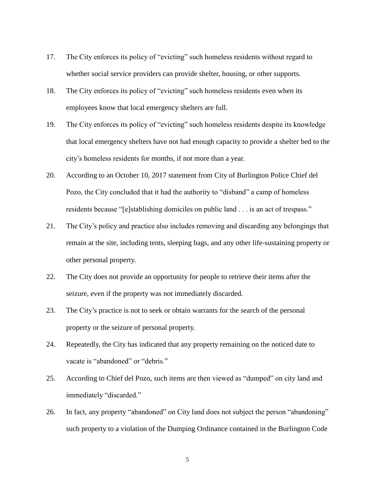- 17. The City enforces its policy of "evicting" such homeless residents without regard to whether social service providers can provide shelter, housing, or other supports.
- 18. The City enforces its policy of "evicting" such homeless residents even when its employees know that local emergency shelters are full.
- 19. The City enforces its policy of "evicting" such homeless residents despite its knowledge that local emergency shelters have not had enough capacity to provide a shelter bed to the city's homeless residents for months, if not more than a year.
- 20. According to an October 10, 2017 statement from City of Burlington Police Chief del Pozo, the City concluded that it had the authority to "disband" a camp of homeless residents because "[e]stablishing domiciles on public land . . . is an act of trespass."
- 21. The City's policy and practice also includes removing and discarding any belongings that remain at the site, including tents, sleeping bags, and any other life-sustaining property or other personal property.
- 22. The City does not provide an opportunity for people to retrieve their items after the seizure, even if the property was not immediately discarded.
- 23. The City's practice is not to seek or obtain warrants for the search of the personal property or the seizure of personal property.
- 24. Repeatedly, the City has indicated that any property remaining on the noticed date to vacate is "abandoned" or "debris."
- 25. According to Chief del Pozo, such items are then viewed as "dumped" on city land and immediately "discarded."
- 26. In fact, any property "abandoned" on City land does not subject the person "abandoning" such property to a violation of the Dumping Ordinance contained in the Burlington Code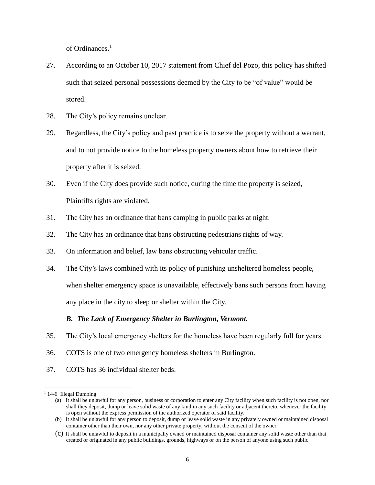of Ordinances.<sup>1</sup>

- 27. According to an October 10, 2017 statement from Chief del Pozo, this policy has shifted such that seized personal possessions deemed by the City to be "of value" would be stored.
- 28. The City's policy remains unclear.
- 29. Regardless, the City's policy and past practice is to seize the property without a warrant, and to not provide notice to the homeless property owners about how to retrieve their property after it is seized.
- 30. Even if the City does provide such notice, during the time the property is seized, Plaintiffs rights are violated.
- 31. The City has an ordinance that bans camping in public parks at night.
- 32. The City has an ordinance that bans obstructing pedestrians rights of way.
- 33. On information and belief, law bans obstructing vehicular traffic.
- 34. The City's laws combined with its policy of punishing unsheltered homeless people, when shelter emergency space is unavailable, effectively bans such persons from having any place in the city to sleep or shelter within the City.

## *B. The Lack of Emergency Shelter in Burlington, Vermont.*

- 35. The City's local emergency shelters for the homeless have been regularly full for years.
- 36. COTS is one of two emergency homeless shelters in Burlington.
- 37. COTS has 36 individual shelter beds.

 $\overline{a}$ 

<sup>&</sup>lt;sup>1</sup> 14-6 Illegal Dumping

<sup>(</sup>a) It shall be unlawful for any person, business or corporation to enter any City facility when such facility is not open, nor shall they deposit, dump or leave solid waste of any kind in any such facility or adjacent thereto, whenever the facility is open without the express permission of the authorized operator of said facility.

<sup>(</sup>b) It shall be unlawful for any person to deposit, dump or leave solid waste in any privately owned or maintained disposal container other than their own, nor any other private property, without the consent of the owner.

<sup>(</sup>c) It shall be unlawful to deposit in a municipally owned or maintained disposal container any solid waste other than that created or originated in any public buildings, grounds, highways or on the person of anyone using such public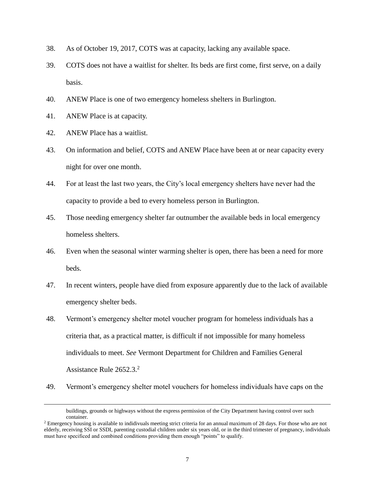- 38. As of October 19, 2017, COTS was at capacity, lacking any available space.
- 39. COTS does not have a waitlist for shelter. Its beds are first come, first serve, on a daily basis.
- 40. ANEW Place is one of two emergency homeless shelters in Burlington.
- 41. ANEW Place is at capacity.
- 42. ANEW Place has a waitlist.

 $\overline{a}$ 

- 43. On information and belief, COTS and ANEW Place have been at or near capacity every night for over one month.
- 44. For at least the last two years, the City's local emergency shelters have never had the capacity to provide a bed to every homeless person in Burlington.
- 45. Those needing emergency shelter far outnumber the available beds in local emergency homeless shelters.
- 46. Even when the seasonal winter warming shelter is open, there has been a need for more beds.
- 47. In recent winters, people have died from exposure apparently due to the lack of available emergency shelter beds.
- 48. Vermont's emergency shelter motel voucher program for homeless individuals has a criteria that, as a practical matter, is difficult if not impossible for many homeless individuals to meet. *See* Vermont Department for Children and Families General Assistance Rule 2652.3.<sup>2</sup>
- 49. Vermont's emergency shelter motel vouchers for homeless individuals have caps on the

buildings, grounds or highways without the express permission of the City Department having control over such container.

<sup>&</sup>lt;sup>2</sup> Emergency housing is available to indidivuals meeting strict criteria for an annual maximum of 28 days. For those who are not elderly, receiving SSI or SSDI, parenting custodial children under six years old, or in the third trimester of pregnancy, individuals must have specificed and combined conditions providing them enough "points" to qualify.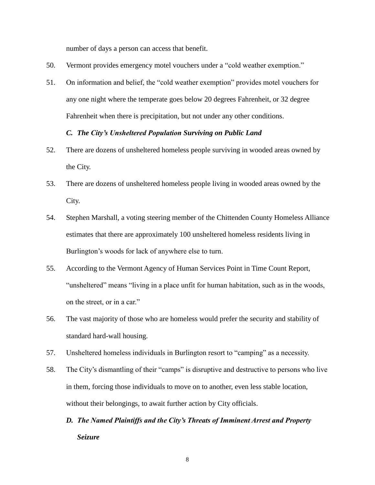number of days a person can access that benefit.

- 50. Vermont provides emergency motel vouchers under a "cold weather exemption."
- 51. On information and belief, the "cold weather exemption" provides motel vouchers for any one night where the temperate goes below 20 degrees Fahrenheit, or 32 degree Fahrenheit when there is precipitation, but not under any other conditions.

## *C. The City's Unsheltered Population Surviving on Public Land*

- 52. There are dozens of unsheltered homeless people surviving in wooded areas owned by the City.
- 53. There are dozens of unsheltered homeless people living in wooded areas owned by the City.
- 54. Stephen Marshall, a voting steering member of the Chittenden County Homeless Alliance estimates that there are approximately 100 unsheltered homeless residents living in Burlington's woods for lack of anywhere else to turn.
- 55. According to the Vermont Agency of Human Services Point in Time Count Report, "unsheltered" means "living in a place unfit for human habitation, such as in the woods, on the street, or in a car."
- 56. The vast majority of those who are homeless would prefer the security and stability of standard hard-wall housing.
- 57. Unsheltered homeless individuals in Burlington resort to "camping" as a necessity.
- 58. The City's dismantling of their "camps" is disruptive and destructive to persons who live in them, forcing those individuals to move on to another, even less stable location, without their belongings, to await further action by City officials.
	- *D. The Named Plaintiffs and the City's Threats of Imminent Arrest and Property Seizure*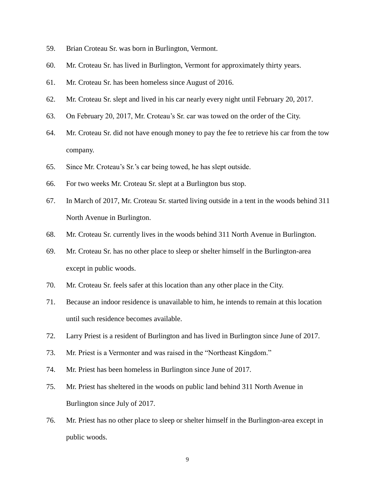- 59. Brian Croteau Sr. was born in Burlington, Vermont.
- 60. Mr. Croteau Sr. has lived in Burlington, Vermont for approximately thirty years.
- 61. Mr. Croteau Sr. has been homeless since August of 2016.
- 62. Mr. Croteau Sr. slept and lived in his car nearly every night until February 20, 2017.
- 63. On February 20, 2017, Mr. Croteau's Sr. car was towed on the order of the City.
- 64. Mr. Croteau Sr. did not have enough money to pay the fee to retrieve his car from the tow company.
- 65. Since Mr. Croteau's Sr.'s car being towed, he has slept outside.
- 66. For two weeks Mr. Croteau Sr. slept at a Burlington bus stop.
- 67. In March of 2017, Mr. Croteau Sr. started living outside in a tent in the woods behind 311 North Avenue in Burlington.
- 68. Mr. Croteau Sr. currently lives in the woods behind 311 North Avenue in Burlington.
- 69. Mr. Croteau Sr. has no other place to sleep or shelter himself in the Burlington-area except in public woods.
- 70. Mr. Croteau Sr. feels safer at this location than any other place in the City.
- 71. Because an indoor residence is unavailable to him, he intends to remain at this location until such residence becomes available.
- 72. Larry Priest is a resident of Burlington and has lived in Burlington since June of 2017.
- 73. Mr. Priest is a Vermonter and was raised in the "Northeast Kingdom."
- 74. Mr. Priest has been homeless in Burlington since June of 2017.
- 75. Mr. Priest has sheltered in the woods on public land behind 311 North Avenue in Burlington since July of 2017.
- 76. Mr. Priest has no other place to sleep or shelter himself in the Burlington-area except in public woods.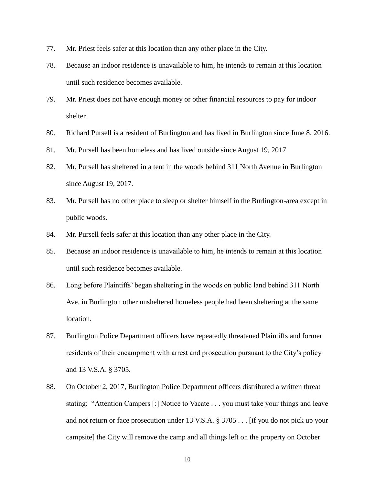- 77. Mr. Priest feels safer at this location than any other place in the City.
- 78. Because an indoor residence is unavailable to him, he intends to remain at this location until such residence becomes available.
- 79. Mr. Priest does not have enough money or other financial resources to pay for indoor shelter.
- 80. Richard Pursell is a resident of Burlington and has lived in Burlington since June 8, 2016.
- 81. Mr. Pursell has been homeless and has lived outside since August 19, 2017
- 82. Mr. Pursell has sheltered in a tent in the woods behind 311 North Avenue in Burlington since August 19, 2017.
- 83. Mr. Pursell has no other place to sleep or shelter himself in the Burlington-area except in public woods.
- 84. Mr. Pursell feels safer at this location than any other place in the City.
- 85. Because an indoor residence is unavailable to him, he intends to remain at this location until such residence becomes available.
- 86. Long before Plaintiffs' began sheltering in the woods on public land behind 311 North Ave. in Burlington other unsheltered homeless people had been sheltering at the same location.
- 87. Burlington Police Department officers have repeatedly threatened Plaintiffs and former residents of their encampment with arrest and prosecution pursuant to the City's policy and 13 V.S.A. § 3705.
- 88. On October 2, 2017, Burlington Police Department officers distributed a written threat stating: "Attention Campers [:] Notice to Vacate . . . you must take your things and leave and not return or face prosecution under 13 V.S.A. § 3705 . . . [if you do not pick up your campsite] the City will remove the camp and all things left on the property on October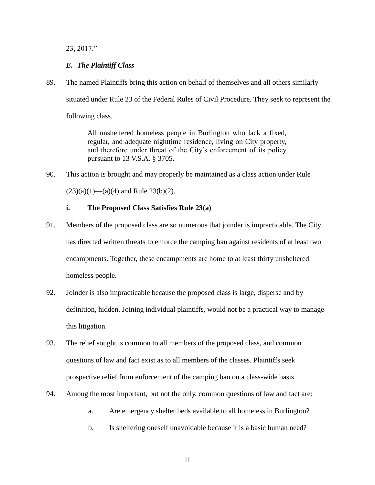23, 2017."

# *E. The Plaintiff Class*

89. The named Plaintiffs bring this action on behalf of themselves and all others similarly situated under Rule 23 of the Federal Rules of Civil Procedure. They seek to represent the following class.

> All unsheltered homeless people in Burlington who lack a fixed, regular, and adequate nighttime residence, living on City property, and therefore under threat of the City's enforcement of its policy pursuant to 13 V.S.A. § 3705.

90. This action is brought and may properly be maintained as a class action under Rule

 $(23)(a)(1)$ —(a)(4) and Rule 23(b)(2).

## **i. The Proposed Class Satisfies Rule 23(a)**

- 91. Members of the proposed class are so numerous that joinder is impracticable. The City has directed written threats to enforce the camping ban against residents of at least two encampments. Together, these encampments are home to at least thirty unsheltered homeless people.
- 92. Joinder is also impracticable because the proposed class is large, disperse and by definition, hidden. Joining individual plaintiffs, would not be a practical way to manage this litigation.
- 93. The relief sought is common to all members of the proposed class, and common questions of law and fact exist as to all members of the classes. Plaintiffs seek prospective relief from enforcement of the camping ban on a class-wide basis.
- 94. Among the most important, but not the only, common questions of law and fact are:
	- a. Are emergency shelter beds available to all homeless in Burlington?
	- b. Is sheltering oneself unavoidable because it is a basic human need?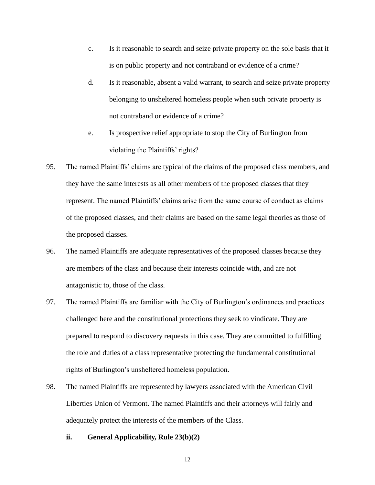- c. Is it reasonable to search and seize private property on the sole basis that it is on public property and not contraband or evidence of a crime?
- d. Is it reasonable, absent a valid warrant, to search and seize private property belonging to unsheltered homeless people when such private property is not contraband or evidence of a crime?
- e. Is prospective relief appropriate to stop the City of Burlington from violating the Plaintiffs' rights?
- 95. The named Plaintiffs' claims are typical of the claims of the proposed class members, and they have the same interests as all other members of the proposed classes that they represent. The named Plaintiffs' claims arise from the same course of conduct as claims of the proposed classes, and their claims are based on the same legal theories as those of the proposed classes.
- 96. The named Plaintiffs are adequate representatives of the proposed classes because they are members of the class and because their interests coincide with, and are not antagonistic to, those of the class.
- 97. The named Plaintiffs are familiar with the City of Burlington's ordinances and practices challenged here and the constitutional protections they seek to vindicate. They are prepared to respond to discovery requests in this case. They are committed to fulfilling the role and duties of a class representative protecting the fundamental constitutional rights of Burlington's unsheltered homeless population.
- 98. The named Plaintiffs are represented by lawyers associated with the American Civil Liberties Union of Vermont. The named Plaintiffs and their attorneys will fairly and adequately protect the interests of the members of the Class.
	- **ii. General Applicability, Rule 23(b)(2)**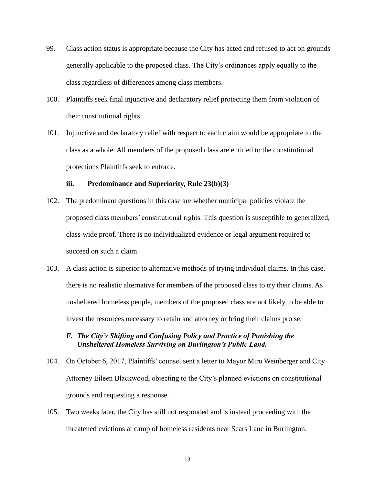- 99. Class action status is appropriate because the City has acted and refused to act on grounds generally applicable to the proposed class. The City's ordinances apply equally to the class regardless of differences among class members.
- 100. Plaintiffs seek final injunctive and declaratory relief protecting them from violation of their constitutional rights.
- 101. Injunctive and declaratory relief with respect to each claim would be appropriate to the class as a whole. All members of the proposed class are entitled to the constitutional protections Plaintiffs seek to enforce.

## **iii. Predominance and Superiority, Rule 23(b)(3)**

- 102. The predominant questions in this case are whether municipal policies violate the proposed class members' constitutional rights. This question is susceptible to generalized, class-wide proof. There is no individualized evidence or legal argument required to succeed on such a claim.
- 103. A class action is superior to alternative methods of trying individual claims. In this case, there is no realistic alternative for members of the proposed class to try their claims. As unsheltered homeless people, members of the proposed class are not likely to be able to invest the resources necessary to retain and attorney or bring their claims pro se.

## *F. The City's Shifting and Confusing Policy and Practice of Punishing the Unsheltered Homeless Surviving on Burlington's Public Land.*

- 104. On October 6, 2017, Plaintiffs' counsel [sent a letter](https://www.acluvt.org/sites/default/files/2017-10-06_-_aclu-vt_letter_to_burlington_re_homeless_camp_sweeps_-_signed.pdf) to Mayor Miro Weinberger and City Attorney Eileen Blackwood, objecting to the City's planned evictions on constitutional grounds and requesting a response.
- 105. Two weeks later, the City has still not responded and is instead proceeding with the threatened evictions at camp of homeless residents near Sears Lane in Burlington.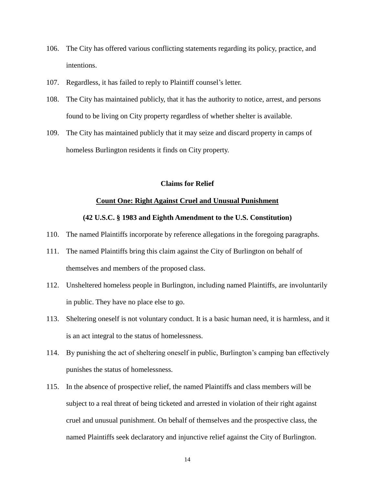- 106. The City has offered various conflicting statements regarding its policy, practice, and intentions.
- 107. Regardless, it has failed to reply to Plaintiff counsel's letter.
- 108. The City has maintained publicly, that it has the authority to notice, arrest, and persons found to be living on City property regardless of whether shelter is available.
- 109. The City has maintained publicly that it may seize and discard property in camps of homeless Burlington residents it finds on City property.

## **Claims for Relief**

#### **Count One: Right Against Cruel and Unusual Punishment**

## **(42 U.S.C. § 1983 and Eighth Amendment to the U.S. Constitution)**

- 110. The named Plaintiffs incorporate by reference allegations in the foregoing paragraphs.
- 111. The named Plaintiffs bring this claim against the City of Burlington on behalf of themselves and members of the proposed class.
- 112. Unsheltered homeless people in Burlington, including named Plaintiffs, are involuntarily in public. They have no place else to go.
- 113. Sheltering oneself is not voluntary conduct. It is a basic human need, it is harmless, and it is an act integral to the status of homelessness.
- 114. By punishing the act of sheltering oneself in public, Burlington's camping ban effectively punishes the status of homelessness.
- 115. In the absence of prospective relief, the named Plaintiffs and class members will be subject to a real threat of being ticketed and arrested in violation of their right against cruel and unusual punishment. On behalf of themselves and the prospective class, the named Plaintiffs seek declaratory and injunctive relief against the City of Burlington.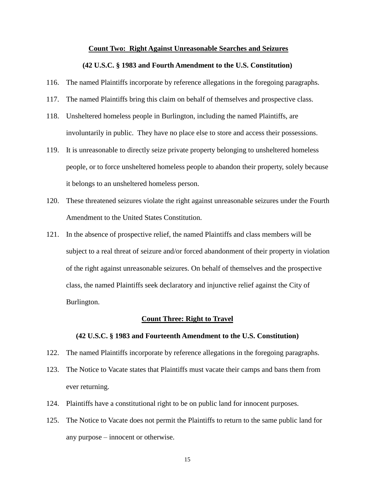#### **Count Two: Right Against Unreasonable Searches and Seizures**

#### **(42 U.S.C. § 1983 and Fourth Amendment to the U.S. Constitution)**

- 116. The named Plaintiffs incorporate by reference allegations in the foregoing paragraphs.
- 117. The named Plaintiffs bring this claim on behalf of themselves and prospective class.
- 118. Unsheltered homeless people in Burlington, including the named Plaintiffs, are involuntarily in public. They have no place else to store and access their possessions.
- 119. It is unreasonable to directly seize private property belonging to unsheltered homeless people, or to force unsheltered homeless people to abandon their property, solely because it belongs to an unsheltered homeless person.
- 120. These threatened seizures violate the right against unreasonable seizures under the Fourth Amendment to the United States Constitution.
- 121. In the absence of prospective relief, the named Plaintiffs and class members will be subject to a real threat of seizure and/or forced abandonment of their property in violation of the right against unreasonable seizures. On behalf of themselves and the prospective class, the named Plaintiffs seek declaratory and injunctive relief against the City of Burlington.

#### **Count Three: Right to Travel**

#### **(42 U.S.C. § 1983 and Fourteenth Amendment to the U.S. Constitution)**

- 122. The named Plaintiffs incorporate by reference allegations in the foregoing paragraphs.
- 123. The Notice to Vacate states that Plaintiffs must vacate their camps and bans them from ever returning.
- 124. Plaintiffs have a constitutional right to be on public land for innocent purposes.
- 125. The Notice to Vacate does not permit the Plaintiffs to return to the same public land for any purpose – innocent or otherwise.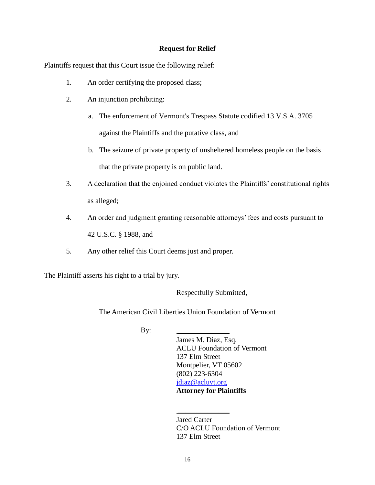## **Request for Relief**

Plaintiffs request that this Court issue the following relief:

- 1. An order certifying the proposed class;
- 2. An injunction prohibiting:
	- a. The enforcement of Vermont's Trespass Statute codified 13 V.S.A. 3705 against the Plaintiffs and the putative class, and
	- b. The seizure of private property of unsheltered homeless people on the basis that the private property is on public land.
- 3. A declaration that the enjoined conduct violates the Plaintiffs' constitutional rights as alleged;
- 4. An order and judgment granting reasonable attorneys' fees and costs pursuant to 42 U.S.C. § 1988, and
- 5. Any other relief this Court deems just and proper.

The Plaintiff asserts his right to a trial by jury.

Respectfully Submitted,

The American Civil Liberties Union Foundation of Vermont

 $By:$ 

James M. Diaz, Esq. ACLU Foundation of Vermont 137 Elm Street Montpelier, VT 05602 (802) 223-6304 [jdiaz@acluvt.org](mailto:jdiaz@acluvt.org) **Attorney for Plaintiffs**

Jared Carter C/O ACLU Foundation of Vermont 137 Elm Street

 $\frac{1}{2}$